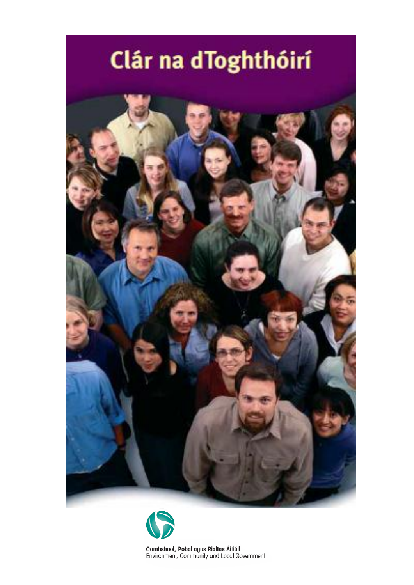# Clár na dToghthóirí





Comhshaol, Pobal agus Rialtas Áitiúil Environment, Community and Local Government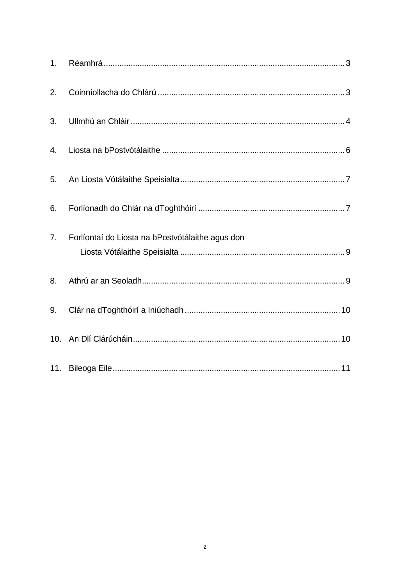| 2.             |                                                  |
|----------------|--------------------------------------------------|
| 3.             |                                                  |
| 4.             |                                                  |
| 5.             |                                                  |
| 6.             |                                                  |
| 7 <sub>1</sub> | Forlíontaí do Liosta na bPostvótálaithe agus don |
| 8.             |                                                  |
| 9.             |                                                  |
|                |                                                  |
|                |                                                  |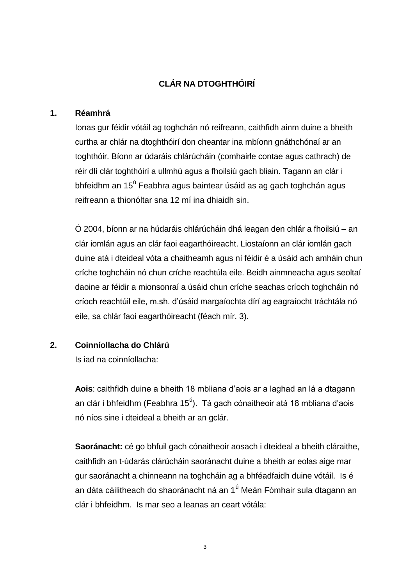# **CLÁR NA DTOGHTHÓIRÍ**

#### **1. Réamhrá**

Ionas gur féidir vótáil ag toghchán nó reifreann, caithfidh ainm duine a bheith curtha ar chlár na dtoghthóirí don cheantar ina mbíonn gnáthchónaí ar an toghthóir. Bíonn ar údaráis chlárúcháin (comhairle contae agus cathrach) de réir dlí clár toghthóirí a ullmhú agus a fhoilsiú gach bliain. Tagann an clár i bhfeidhm an 15<sup>ú</sup> Feabhra agus baintear úsáid as ag gach toghchán agus reifreann a thionóltar sna 12 mí ina dhiaidh sin.

Ó 2004, bíonn ar na húdaráis chlárúcháin dhá leagan den chlár a fhoilsiú – an clár iomlán agus an clár faoi eagarthóireacht. Liostaíonn an clár iomlán gach duine atá i dteideal vóta a chaitheamh agus ní féidir é a úsáid ach amháin chun críche toghcháin nó chun críche reachtúla eile. Beidh ainmneacha agus seoltaí daoine ar féidir a mionsonraí a úsáid chun críche seachas críoch toghcháin nó críoch reachtúil eile, m.sh. d'úsáid margaíochta dírí ag eagraíocht tráchtála nó eile, sa chlár faoi eagarthóireacht (féach mír. 3).

# **2. Coinníollacha do Chlárú**

Is iad na coinníollacha:

**Aois**: caithfidh duine a bheith 18 mbliana d'aois ar a laghad an lá a dtagann an clár i bhfeidhm (Feabhra 15<sup>ú</sup>). Tá gach cónaitheoir atá 18 mbliana d'aois nó níos sine i dteideal a bheith ar an gclár.

**Saoránacht:** cé go bhfuil gach cónaitheoir aosach i dteideal a bheith cláraithe, caithfidh an t-údarás clárúcháin saoránacht duine a bheith ar eolas aige mar gur saoránacht a chinneann na toghcháin ag a bhféadfaidh duine vótáil. Is é an dáta cáilitheach do shaoránacht ná an 1<sup>ú</sup> Meán Fómhair sula dtagann an clár i bhfeidhm. Is mar seo a leanas an ceart vótála: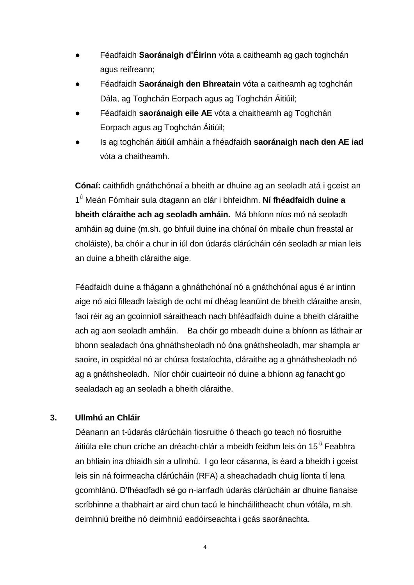- Féadfaidh **Saoránaigh d'Éirinn** vóta a caitheamh ag gach toghchán agus reifreann;
- Féadfaidh **Saoránaigh den Bhreatain** vóta a caitheamh ag toghchán Dála, ag Toghchán Eorpach agus ag Toghchán Áitiúil;
- Féadfaidh **saoránaigh eile AE** vóta a chaitheamh ag Toghchán Eorpach agus ag Toghchán Áitiúil;
- Is ag toghchán áitiúil amháin a fhéadfaidh **saoránaigh nach den AE iad** vóta a chaitheamh.

**Cónaí:** caithfidh gnáthchónaí a bheith ar dhuine ag an seoladh atá i gceist an 1 <sup>ú</sup> Meán Fómhair sula dtagann an clár i bhfeidhm. **Ní fhéadfaidh duine a bheith cláraithe ach ag seoladh amháin.** Má bhíonn níos mó ná seoladh amháin ag duine (m.sh. go bhfuil duine ina chónaí ón mbaile chun freastal ar choláiste), ba chóir a chur in iúl don údarás clárúcháin cén seoladh ar mian leis an duine a bheith cláraithe aige.

Féadfaidh duine a fhágann a ghnáthchónaí nó a gnáthchónaí agus é ar intinn aige nó aici filleadh laistigh de ocht mí dhéag leanúint de bheith cláraithe ansin, faoi réir ag an gcoinníoll sáraitheach nach bhféadfaidh duine a bheith cláraithe ach ag aon seoladh amháin. Ba chóir go mbeadh duine a bhíonn as láthair ar bhonn sealadach óna ghnáthsheoladh nó óna gnáthsheoladh, mar shampla ar saoire, in ospidéal nó ar chúrsa fostaíochta, cláraithe ag a ghnáthsheoladh nó ag a gnáthsheoladh. Níor chóir cuairteoir nó duine a bhíonn ag fanacht go sealadach ag an seoladh a bheith cláraithe.

# **3. Ullmhú an Chláir**

Déanann an t-údarás clárúcháin fiosruithe ó theach go teach nó fiosruithe áitiúla eile chun críche an dréacht-chlár a mbeidh feidhm leis ón 15<sup>ú</sup> Feabhra an bhliain ina dhiaidh sin a ullmhú. I go leor cásanna, is éard a bheidh i gceist leis sin ná foirmeacha clárúcháin (RFA) a sheachadadh chuig líonta tí lena gcomhlánú. D'fhéadfadh sé go n-iarrfadh údarás clárúcháin ar dhuine fianaise scríbhinne a thabhairt ar aird chun tacú le hincháilitheacht chun vótála, m.sh. deimhniú breithe nó deimhniú eadóirseachta i gcás saoránachta.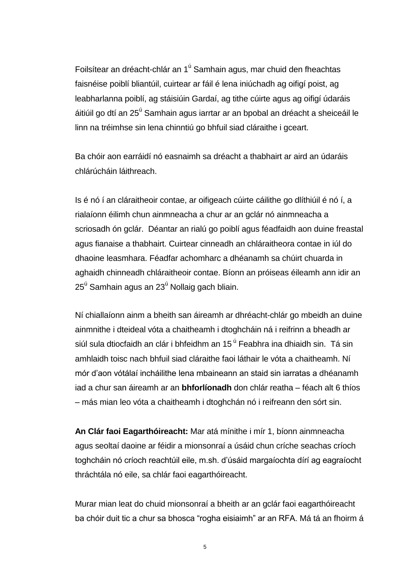Foilsítear an dréacht-chlár an 1<sup>ú</sup> Samhain agus, mar chuid den fheachtas faisnéise poiblí bliantúil, cuirtear ar fáil é lena iniúchadh ag oifigí poist, ag leabharlanna poiblí, ag stáisiúin Gardaí, ag tithe cúirte agus ag oifigí údaráis áitiúil go dtí an 25<sup>ú</sup> Samhain agus iarrtar ar an bpobal an dréacht a sheiceáil le linn na tréimhse sin lena chinntiú go bhfuil siad cláraithe i gceart.

Ba chóir aon earráidí nó easnaimh sa dréacht a thabhairt ar aird an údaráis chlárúcháin láithreach.

Is é nó í an cláraitheoir contae, ar oifigeach cúirte cáilithe go dlíthiúil é nó í, a rialaíonn éilimh chun ainmneacha a chur ar an gclár nó ainmneacha a scriosadh ón gclár. Déantar an rialú go poiblí agus féadfaidh aon duine freastal agus fianaise a thabhairt. Cuirtear cinneadh an chláraitheora contae in iúl do dhaoine leasmhara. Féadfar achomharc a dhéanamh sa chúirt chuarda in aghaidh chinneadh chláraitheoir contae. Bíonn an próiseas éileamh ann idir an  $25<sup>ú</sup>$  Samhain agus an 23<sup>ú</sup> Nollaig gach bliain.

Ní chiallaíonn ainm a bheith san áireamh ar dhréacht-chlár go mbeidh an duine ainmnithe i dteideal vóta a chaitheamh i dtoghcháin ná i reifrinn a bheadh ar siúl sula dtiocfaidh an clár i bhfeidhm an 15 <sup>ú</sup> Feabhra ina dhiaidh sin. Tá sin amhlaidh toisc nach bhfuil siad cláraithe faoi láthair le vóta a chaitheamh. Ní mór d'aon vótálaí incháilithe lena mbaineann an staid sin iarratas a dhéanamh iad a chur san áireamh ar an **bhforlíonadh** don chlár reatha – féach alt 6 thíos – más mian leo vóta a chaitheamh i dtoghchán nó i reifreann den sórt sin.

**An Clár faoi Eagarthóireacht:** Mar atá mínithe i mír 1, bíonn ainmneacha agus seoltaí daoine ar féidir a mionsonraí a úsáid chun críche seachas críoch toghcháin nó críoch reachtúil eile, m.sh. d'úsáid margaíochta dírí ag eagraíocht thráchtála nó eile, sa chlár faoi eagarthóireacht.

Murar mian leat do chuid mionsonraí a bheith ar an gclár faoi eagarthóireacht ba chóir duit tic a chur sa bhosca "rogha eisiaimh" ar an RFA. Má tá an fhoirm á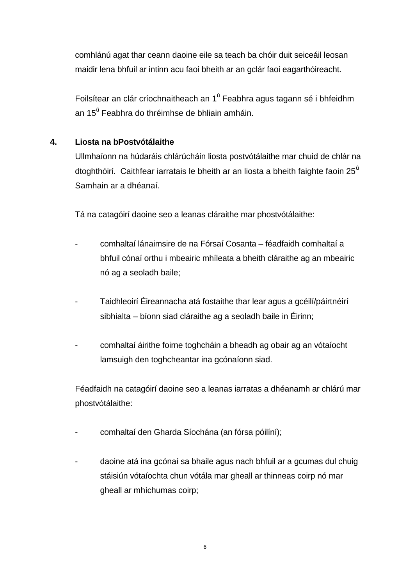comhlánú agat thar ceann daoine eile sa teach ba chóir duit seiceáil leosan maidir lena bhfuil ar intinn acu faoi bheith ar an gclár faoi eagarthóireacht.

Foilsítear an clár críochnaitheach an 1<sup>ú</sup> Feabhra agus tagann sé i bhfeidhm an 15<sup>ú</sup> Feabhra do thréimhse de bhliain amháin.

# **4. Liosta na bPostvótálaithe**

Ullmhaíonn na húdaráis chlárúcháin liosta postvótálaithe mar chuid de chlár na dtoghthóirí. Caithfear iarratais le bheith ar an liosta a bheith faighte faoin 25<sup>ú</sup> Samhain ar a dhéanaí.

Tá na catagóirí daoine seo a leanas cláraithe mar phostvótálaithe:

- comhaltaí lánaimsire de na Fórsaí Cosanta féadfaidh comhaltaí a bhfuil cónaí orthu i mbeairic mhíleata a bheith cláraithe ag an mbeairic nó ag a seoladh baile;
- Taidhleoirí Éireannacha atá fostaithe thar lear agus a gcéilí/páirtnéirí sibhialta – bíonn siad cláraithe ag a seoladh baile in Éirinn;
- comhaltaí áirithe foirne toghcháin a bheadh ag obair ag an vótaíocht lamsuigh den toghcheantar ina gcónaíonn siad.

Féadfaidh na catagóirí daoine seo a leanas iarratas a dhéanamh ar chlárú mar phostvótálaithe:

- comhaltaí den Gharda Síochána (an fórsa póilíní);
- daoine atá ina gcónaí sa bhaile agus nach bhfuil ar a gcumas dul chuig stáisiún vótaíochta chun vótála mar gheall ar thinneas coirp nó mar gheall ar mhíchumas coirp;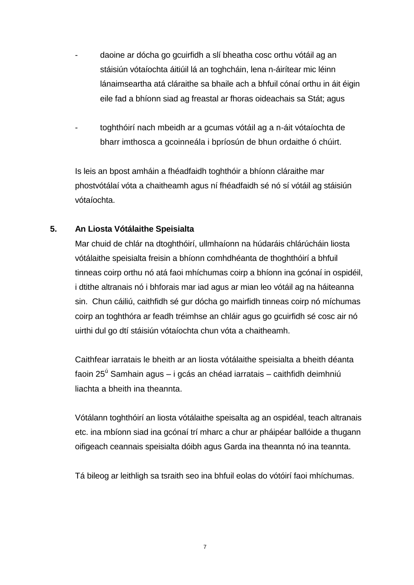- daoine ar dócha go gcuirfidh a slí bheatha cosc orthu vótáil ag an stáisiún vótaíochta áitiúil lá an toghcháin, lena n-áirítear mic léinn lánaimseartha atá cláraithe sa bhaile ach a bhfuil cónaí orthu in áit éigin eile fad a bhíonn siad ag freastal ar fhoras oideachais sa Stát; agus
- toghthóirí nach mbeidh ar a gcumas vótáil ag a n-áit vótaíochta de bharr imthosca a gcoinneála i bpríosún de bhun ordaithe ó chúirt.

Is leis an bpost amháin a fhéadfaidh toghthóir a bhíonn cláraithe mar phostvótálaí vóta a chaitheamh agus ní fhéadfaidh sé nó sí vótáil ag stáisiún vótaíochta.

# **5. An Liosta Vótálaithe Speisialta**

Mar chuid de chlár na dtoghthóirí, ullmhaíonn na húdaráis chlárúcháin liosta vótálaithe speisialta freisin a bhíonn comhdhéanta de thoghthóirí a bhfuil tinneas coirp orthu nó atá faoi mhíchumas coirp a bhíonn ina gcónaí in ospidéil, i dtithe altranais nó i bhforais mar iad agus ar mian leo vótáil ag na háiteanna sin. Chun cáiliú, caithfidh sé gur dócha go mairfidh tinneas coirp nó míchumas coirp an toghthóra ar feadh tréimhse an chláir agus go gcuirfidh sé cosc air nó uirthi dul go dtí stáisiún vótaíochta chun vóta a chaitheamh.

Caithfear iarratais le bheith ar an liosta vótálaithe speisialta a bheith déanta faoin 25<sup>ú</sup> Samhain agus – i gcás an chéad iarratais – caithfidh deimhniú liachta a bheith ina theannta.

Vótálann toghthóirí an liosta vótálaithe speisalta ag an ospidéal, teach altranais etc. ina mbíonn siad ina gcónaí trí mharc a chur ar pháipéar ballóide a thugann oifigeach ceannais speisialta dóibh agus Garda ina theannta nó ina teannta.

Tá bileog ar leithligh sa tsraith seo ina bhfuil eolas do vótóirí faoi mhíchumas.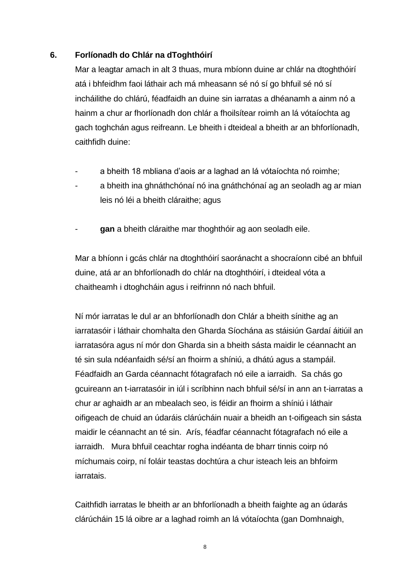#### **6. Forlíonadh do Chlár na dToghthóirí**

Mar a leagtar amach in alt 3 thuas, mura mbíonn duine ar chlár na dtoghthóirí atá i bhfeidhm faoi láthair ach má mheasann sé nó sí go bhfuil sé nó sí incháilithe do chlárú, féadfaidh an duine sin iarratas a dhéanamh a ainm nó a hainm a chur ar fhorlíonadh don chlár a fhoilsítear roimh an lá vótaíochta ag gach toghchán agus reifreann. Le bheith i dteideal a bheith ar an bhforlíonadh, caithfidh duine:

- a bheith 18 mbliana d'aois ar a laghad an lá vótaíochta nó roimhe;
- a bheith ina ghnáthchónaí nó ina gnáthchónaí ag an seoladh ag ar mian leis nó léi a bheith cláraithe; agus
- **gan** a bheith cláraithe mar thoghthóir ag aon seoladh eile.

Mar a bhíonn i gcás chlár na dtoghthóirí saoránacht a shocraíonn cibé an bhfuil duine, atá ar an bhforlíonadh do chlár na dtoghthóirí, i dteideal vóta a chaitheamh i dtoghcháin agus i reifrinnn nó nach bhfuil.

Ní mór iarratas le dul ar an bhforlíonadh don Chlár a bheith sínithe ag an iarratasóir i láthair chomhalta den Gharda Síochána as stáisiún Gardaí áitiúil an iarratasóra agus ní mór don Gharda sin a bheith sásta maidir le céannacht an té sin sula ndéanfaidh sé/sí an fhoirm a shíniú, a dhátú agus a stampáil. Féadfaidh an Garda céannacht fótagrafach nó eile a iarraidh. Sa chás go gcuireann an t-iarratasóir in iúl i scríbhinn nach bhfuil sé/sí in ann an t-iarratas a chur ar aghaidh ar an mbealach seo, is féidir an fhoirm a shíniú i láthair oifigeach de chuid an údaráis clárúcháin nuair a bheidh an t-oifigeach sin sásta maidir le céannacht an té sin. Arís, féadfar céannacht fótagrafach nó eile a iarraidh. Mura bhfuil ceachtar rogha indéanta de bharr tinnis coirp nó míchumais coirp, ní foláir teastas dochtúra a chur isteach leis an bhfoirm iarratais.

Caithfidh iarratas le bheith ar an bhforlíonadh a bheith faighte ag an údarás clárúcháin 15 lá oibre ar a laghad roimh an lá vótaíochta (gan Domhnaigh,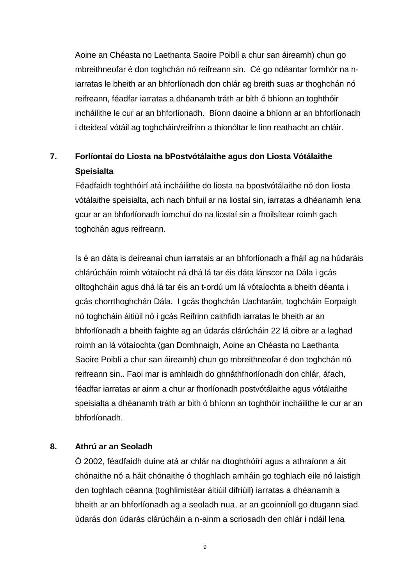Aoine an Chéasta no Laethanta Saoire Poiblí a chur san áireamh) chun go mbreithneofar é don toghchán nó reifreann sin. Cé go ndéantar formhór na niarratas le bheith ar an bhforlíonadh don chlár ag breith suas ar thoghchán nó reifreann, féadfar iarratas a dhéanamh tráth ar bith ó bhíonn an toghthóir incháilithe le cur ar an bhforlíonadh. Bíonn daoine a bhíonn ar an bhforlíonadh i dteideal vótáil ag toghcháin/reifrinn a thionóltar le linn reathacht an chláir.

# **7. Forlíontaí do Liosta na bPostvótálaithe agus don Liosta Vótálaithe Speisialta**

Féadfaidh toghthóirí atá incháilithe do liosta na bpostvótálaithe nó don liosta vótálaithe speisialta, ach nach bhfuil ar na liostaí sin, iarratas a dhéanamh lena gcur ar an bhforlíonadh iomchuí do na liostaí sin a fhoilsítear roimh gach toghchán agus reifreann.

Is é an dáta is deireanaí chun iarratais ar an bhforlíonadh a fháil ag na húdaráis chlárúcháin roimh vótaíocht ná dhá lá tar éis dáta lánscor na Dála i gcás olltoghcháin agus dhá lá tar éis an t-ordú um lá vótaíochta a bheith déanta i gcás chorrthoghchán Dála. I gcás thoghchán Uachtaráin, toghcháin Eorpaigh nó toghcháin áitiúil nó i gcás Reifrinn caithfidh iarratas le bheith ar an bhforlíonadh a bheith faighte ag an údarás clárúcháin 22 lá oibre ar a laghad roimh an lá vótaíochta (gan Domhnaigh, Aoine an Chéasta no Laethanta Saoire Poiblí a chur san áireamh) chun go mbreithneofar é don toghchán nó reifreann sin.. Faoi mar is amhlaidh do ghnáthfhorlíonadh don chlár, áfach, féadfar iarratas ar ainm a chur ar fhorlíonadh postvótálaithe agus vótálaithe speisialta a dhéanamh tráth ar bith ó bhíonn an toghthóir incháilithe le cur ar an bhforlíonadh.

#### **8. Athrú ar an Seoladh**

Ó 2002, féadfaidh duine atá ar chlár na dtoghthóírí agus a athraíonn a áit chónaithe nó a háit chónaithe ó thoghlach amháin go toghlach eile nó laistigh den toghlach céanna (toghlimistéar áitiúil difriúil) iarratas a dhéanamh a bheith ar an bhforlíonadh ag a seoladh nua, ar an gcoinníoll go dtugann siad údarás don údarás clárúcháin a n-ainm a scriosadh den chlár i ndáil lena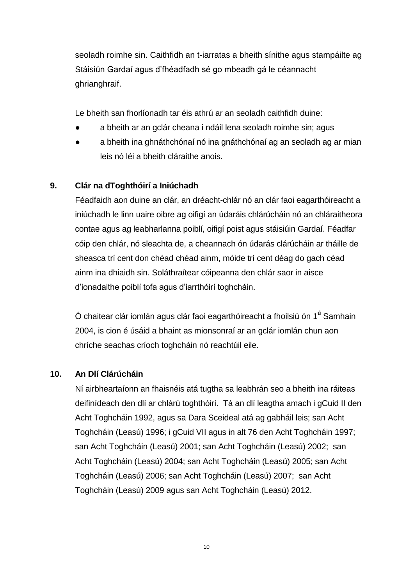seoladh roimhe sin. Caithfidh an t-iarratas a bheith sínithe agus stampáilte ag Stáisiún Gardaí agus d'fhéadfadh sé go mbeadh gá le céannacht ghrianghraif.

Le bheith san fhorlíonadh tar éis athrú ar an seoladh caithfidh duine:

- a bheith ar an gclár cheana i ndáil lena seoladh roimhe sin; agus
- a bheith ina ghnáthchónaí nó ina gnáthchónaí ag an seoladh ag ar mian leis nó léi a bheith cláraithe anois.

# **9. Clár na dToghthóirí a Iniúchadh**

Féadfaidh aon duine an clár, an dréacht-chlár nó an clár faoi eagarthóireacht a iniúchadh le linn uaire oibre ag oifigí an údaráis chlárúcháin nó an chláraitheora contae agus ag leabharlanna poiblí, oifigí poist agus stáisiúin Gardaí. Féadfar cóip den chlár, nó sleachta de, a cheannach ón údarás clárúcháin ar tháille de sheasca trí cent don chéad chéad ainm, móide trí cent déag do gach céad ainm ina dhiaidh sin. Soláthraítear cóipeanna den chlár saor in aisce d'ionadaithe poiblí tofa agus d'iarrthóirí toghcháin.

Ó chaitear clár iomlán agus clár faoi eagarthóireacht a fhoilsiú ón 1**<sup>ú</sup>** Samhain 2004, is cion é úsáid a bhaint as mionsonraí ar an gclár iomlán chun aon chríche seachas críoch toghcháin nó reachtúil eile.

# **10. An Dlí Clárúcháin**

Ní airbheartaíonn an fhaisnéis atá tugtha sa leabhrán seo a bheith ina ráiteas deifinídeach den dlí ar chlárú toghthóirí. Tá an dlí leagtha amach i gCuid II den Acht Toghcháin 1992, agus sa Dara Sceideal atá ag gabháil leis; san Acht Toghcháin (Leasú) 1996; i gCuid VII agus in alt 76 den Acht Toghcháin 1997; san Acht Toghcháin (Leasú) 2001; san Acht Toghcháin (Leasú) 2002; san Acht Toghcháin (Leasú) 2004; san Acht Toghcháin (Leasú) 2005; san Acht Toghcháin (Leasú) 2006; san Acht Toghcháin (Leasú) 2007; san Acht Toghcháin (Leasú) 2009 agus san Acht Toghcháin (Leasú) 2012.